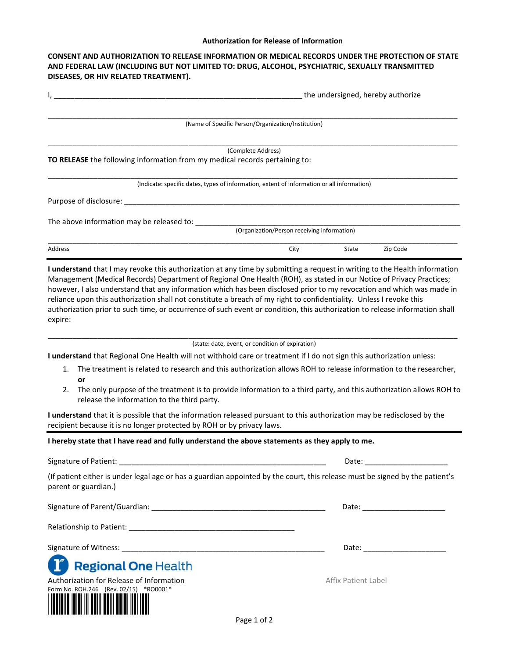## **Authorization for Release of Information**

## **CONSENT AND AUTHORIZATION TO RELEASE INFORMATION OR MEDICAL RECORDS UNDER THE PROTECTION OF STATE AND FEDERAL LAW (INCLUDING BUT NOT LIMITED TO: DRUG, ALCOHOL, PSYCHIATRIC, SEXUALLY TRANSMITTED DISEASES, OR HIV RELATED TREATMENT).**

|                                                                                                                                                                                                                                | the undersigned, hereby authorize                                                          |       |          |
|--------------------------------------------------------------------------------------------------------------------------------------------------------------------------------------------------------------------------------|--------------------------------------------------------------------------------------------|-------|----------|
|                                                                                                                                                                                                                                |                                                                                            |       |          |
|                                                                                                                                                                                                                                | (Name of Specific Person/Organization/Institution)                                         |       |          |
|                                                                                                                                                                                                                                | (Complete Address)                                                                         |       |          |
| TO RELEASE the following information from my medical records pertaining to:                                                                                                                                                    |                                                                                            |       |          |
|                                                                                                                                                                                                                                | (Indicate: specific dates, types of information, extent of information or all information) |       |          |
| Purpose of disclosure: the contract of the contract of the contract of the contract of the contract of the contract of the contract of the contract of the contract of the contract of the contract of the contract of the con |                                                                                            |       |          |
| The above information may be released to:                                                                                                                                                                                      |                                                                                            |       |          |
|                                                                                                                                                                                                                                | (Organization/Person receiving information)                                                |       |          |
| Address                                                                                                                                                                                                                        | City                                                                                       | State | Zip Code |

**I understand** that I may revoke this authorization at any time by submitting a request in writing to the Health information Management (Medical Records) Department of Regional One Health (ROH), as stated in our Notice of Privacy Practices; however, I also understand that any information which has been disclosed prior to my revocation and which was made in reliance upon this authorization shall not constitute a breach of my right to confidentiality. Unless I revoke this authorization prior to such time, or occurrence of such event or condition, this authorization to release information shall expire:

 $\frac{1}{2}$  ,  $\frac{1}{2}$  ,  $\frac{1}{2}$  ,  $\frac{1}{2}$  ,  $\frac{1}{2}$  ,  $\frac{1}{2}$  ,  $\frac{1}{2}$  ,  $\frac{1}{2}$  ,  $\frac{1}{2}$  ,  $\frac{1}{2}$  ,  $\frac{1}{2}$  ,  $\frac{1}{2}$  ,  $\frac{1}{2}$  ,  $\frac{1}{2}$  ,  $\frac{1}{2}$  ,  $\frac{1}{2}$  ,  $\frac{1}{2}$  ,  $\frac{1}{2}$  ,  $\frac{1$ (state: date, event, or condition of expiration)

**I understand** that Regional One Health will not withhold care or treatment if I do not sign this authorization unless:

- 1. The treatment is related to research and this authorization allows ROH to release information to the researcher, **or**
- 2. The only purpose of the treatment is to provide information to a third party, and this authorization allows ROH to release the information to the third party.

**I understand** that it is possible that the information released pursuant to this authorization may be redisclosed by the recipient because it is no longer protected by ROH or by privacy laws.

## **I hereby state that I have read and fully understand the above statements as they apply to me.**

| Signature of Patient: |
|-----------------------|
|-----------------------|

(If patient either is under legal age or has a guardian appointed by the court, this release must be signed by the patient's parent or guardian.)

Signature of Parent/Guardian: \_\_\_\_\_\_\_\_\_\_\_\_\_\_\_\_\_\_\_\_\_\_\_\_\_\_\_\_\_\_\_\_\_\_\_\_\_\_\_\_\_\_ Date: \_\_\_\_\_\_\_\_\_\_\_\_\_\_\_\_\_\_\_\_ Relationship to Patient: **Example 2018** 

Signature of Witness: \_\_\_\_\_\_\_\_\_\_\_\_\_\_\_\_\_\_\_\_\_\_\_\_\_\_\_\_\_\_\_\_\_\_\_\_\_\_\_\_\_\_\_\_\_\_\_\_\_ Date: \_\_\_\_\_\_\_\_\_\_\_\_\_\_\_\_\_\_\_\_





Signature of Patient: \_\_\_\_\_\_\_\_\_\_\_\_\_\_\_\_\_\_\_\_\_\_\_\_\_\_\_\_\_\_\_\_\_\_\_\_\_\_\_\_\_\_\_\_\_\_\_\_\_\_ Date: \_\_\_\_\_\_\_\_\_\_\_\_\_\_\_\_\_\_\_\_